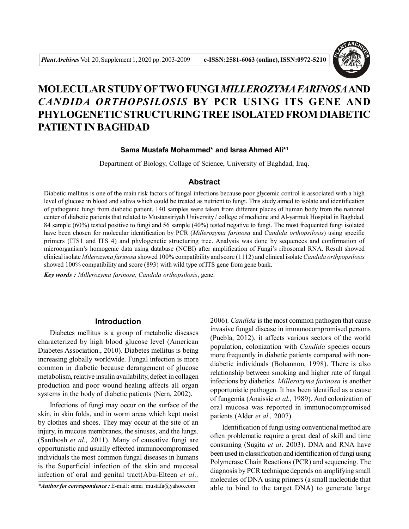

# **MOLECULAR STUDY OFTWO FUNGI** *MILLEROZYMA FARINOSA***AND** *CANDIDA ORTHOPSILOSIS* **BY PCR USING ITS GENE AND PHYLOGENETIC STRUCTURINGTREEISOLATED FROM DIABETIC PATIENT IN BAGHDAD**

#### **Sama Mustafa Mohammed\* and Israa Ahmed Ali\*<sup>1</sup>**

Department of Biology, Collage of Science, University of Baghdad, Iraq.

#### **Abstract**

Diabetic mellitus is one of the main risk factors of fungal infections because poor glycemic control is associated with a high level of glucose in blood and saliva which could be treated as nutrient to fungi. This study aimed to isolate and identification of pathogenic fungi from diabetic patient. 140 samples were taken from different places of human body from the national center of diabetic patients that related to Mustansiriyah University / college of medicine and Al-yarmuk Hospital in Baghdad. 84 sample (60%) tested positive to fungi and 56 sample (40%) tested negative to fungi. The most frequented fungi isolated have been chosen for molecular identification by PCR (*Millerozyma farinosa* and *Candida orthopsilosis*) using specific primers (ITS1 and ITS 4) and phylogenetic structuring tree. Analysis was done by sequences and confirmation of microorganism's homogenic data using database (NCBI) after amplification of Fungi's ribosomal RNA. Result showed clinical isolate *Milerozyma farinosa* showed 100% compatibility and score (1112) and clinical isolate *Candida orthpopsilosis* showed 100% compatibility and score (893) with wild type of ITS gene from gene bank.

*Key words : Millerozyma farinose, Candida orthopsilosis*, gene.

### **Introduction**

Diabetes mellitus is a group of metabolic diseases characterized by high blood glucose level (American Diabetes Association., 2010). Diabetes mellitus is being increasing globally worldwide. Fungal infection is more common in diabetic because derangement of glucose metabolism, relative insulin availability, defect in collagen production and poor wound healing affects all organ systems in the body of diabetic patients (Nern, 2002).

Infections of fungi may occur on the surface of the skin, in skin folds, and in worm areas which kept moist by clothes and shoes. They may occur at the site of an injury, in mucous membranes, the sinuses, and the lungs. (Santhosh *et al.,* 2011). Many of causative fungi are opportunistic and usually effected immunocompromised individuals the most common fungal diseases in humans is the Superficial infection of the skin and mucosal infection of oral and genital tract(Abu-Elteen *et al.,*

*\*Author for correspondence :* E-mail : sama\_mustafa@yahoo.com

2006)*. Candida* is the most common pathogen that cause invasive fungal disease in immunocompromised persons (Puebla, 2012), it affects various sectors of the world population, colonization with *Candida* species occurs more frequently in diabetic patients compared with nondiabetic individuals (Bohannon, 1998). There is also relationship between smoking and higher rate of fungal infections by diabetics. *Millerozyma farinosa* is another opportunistic pathogen. It has been identified as a cause of fungemia (Anaissie *et al.,* 1989). And colonization of oral mucosa was reported in immunocompromised patients (Alder *et al.,* 2007).

Identification of fungi using conventional method are often problematic require a great deal of skill and time consuming (Sugita *et al*. 2003). DNA and RNA have been used in classification and identification of fungi using Polymerase Chain Reactions (PCR) and sequencing. The diagnosis by PCR technique depends on amplifying small molecules of DNA using primers (a small nucleotide that able to bind to the target DNA) to generate large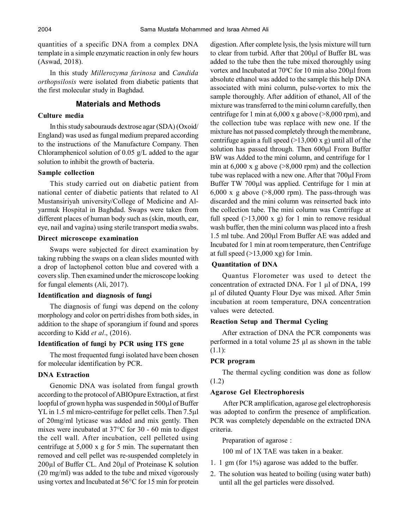quantities of a specific DNA from a complex DNA template in a simple enzymatic reaction in only few hours (Aswad, 2018).

In this study *Millerozyma farinosa* and *Candida orthopsilosis* were isolated from diabetic patients that the first molecular study in Baghdad.

# **Materials and Methods**

#### **Culture media**

In this study sabourauds dextrose agar (SDA) (Oxoid/ England) was used as fungal medium prepared according to the instructions of the Manufacture Company. Then Chloramphenicol solution of 0.05 g/L added to the agar solution to inhibit the growth of bacteria.

#### **Sample collection**

This study carried out on diabetic patient from national center of diabetic patients that related to Al Mustansiriyah university/College of Medicine and Alyarmuk Hospital in Baghdad. Swaps were taken from different places of human body such as (skin, mouth, ear, eye, nail and vagina) using sterile transport media swabs.

#### **Direct microscope examination**

Swaps were subjected for direct examination by taking rubbing the swaps on a clean slides mounted with a drop of lactophenol cotton blue and covered with a covers slip. Then examined under the microscope looking for fungal elements (Ali, 2017).

#### **Identification and diagnosis of fungi**

The diagnosis of fungi was depend on the colony morphology and color on pertri dishes from both sides, in addition to the shape of sporangium if found and spores according to Kidd *et al*., (2016).

#### **Identification of fungi by PCR using ITS gene**

The most frequented fungi isolated have been chosen for molecular identification by PCR.

#### **DNA Extraction**

Genomic DNA was isolated from fungal growth according to the protocol of ABIOpure Extraction, at first loopful of grown hypha was suspended in  $500\mu$ l of Buffer YL in 1.5 ml micro-centrifuge for pellet cells. Then 7.5 $\mu$ l of 20mg/ml lyticase was added and mix gently. Then mixes were incubated at 37°C for 30 - 60 min to digest the cell wall. After incubation, cell pelleted using centrifuge at 5,000 x g for 5 min. The supernatant then removed and cell pellet was re-suspended completely in  $200\mu$ l of Buffer CL. And  $20\mu$ l of Proteinase K solution (20 mg/ml) was added to the tube and mixed vigorously using vortex and Incubated at 56°C for 15 min for protein digestion. After complete lysis, the lysis mixture will turn to clear from turbid. After that 200µl of Buffer BL was added to the tube then the tube mixed thoroughly using vortex and Incubated at  $70^{\circ}$ C for 10 min also  $200 \mu$ l from absolute ethanol was added to the sample this help DNA associated with mini column, pulse-vortex to mix the sample thoroughly. After addition of ethanol, All of the mixture was transferred to the mini column carefully, then centrifuge for 1 min at  $6,000 \times g$  above ( $\geq 8,000$  rpm), and the collection tube was replace with new one. If the mixture has not passed completely through the membrane, centrifuge again a full speed  $(>13,000 \text{ x g})$  until all of the solution has passed through. Then  $600\mu$ l From Buffer BW was Added to the mini column, and centrifuge for 1 min at  $6,000 \times g$  above ( $>8,000$  rpm) and the collection tube was replaced with a new one. After that 700µl From Buffer TW 700µl was applied. Centrifuge for 1 min at 6,000 x g above  $(>8,000$  rpm). The pass-through was discarded and the mini column was reinserted back into the collection tube. The mini column was Centrifuge at full speed  $(>13,000 \times g)$  for 1 min to remove residual wash buffer, then the mini column was placed into a fresh 1.5 ml tube. And 200µl From Buffer AE was added and Incubated for 1 min at room temperature, then Centrifuge at full speed  $(>13,000 \text{ xg})$  for 1min.

# **Quantitation of DNA**

Quantus Florometer was used to detect the concentration of extracted DNA. For 1 µl of DNA, 199 µl of diluted Quanty Flour Dye was mixed. After 5min incubation at room temperature, DNA concentration values were detected.

#### **Reaction Setup and Thermal Cycling**

After extraction of DNA the PCR components was performed in a total volume 25 µl as shown in the table (1.1):

#### **PCR program**

The thermal cycling condition was done as follow (1.2)

#### **Agarose Gel Electrophoresis**

 After PCR amplification, agarose gel electrophoresis was adopted to confirm the presence of amplification. PCR was completely dependable on the extracted DNA criteria.

Preparation of agarose :

100 ml of 1X TAE was taken in a beaker.

- 1. 1 gm (for 1%) agarose was added to the buffer.
- 2. The solution was heated to boiling (using water bath) until all the gel particles were dissolved.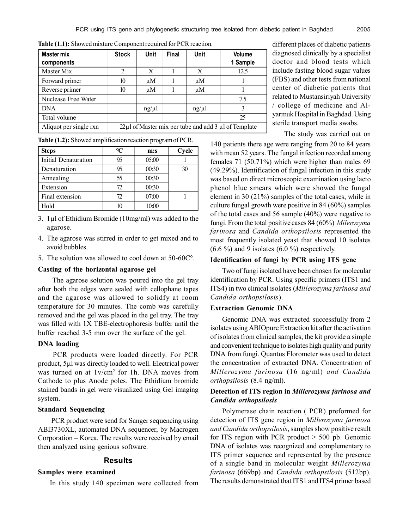| <b>Master mix</b><br>components | <b>Stock</b>                                                    | Unit    | Final | Unit  | <b>Volume</b><br>1 Sample |  |
|---------------------------------|-----------------------------------------------------------------|---------|-------|-------|---------------------------|--|
| Master Mix                      | 2                                                               | X       |       | X     | 12.5                      |  |
| Forward primer                  | 10                                                              | $\mu$ M |       | μM    |                           |  |
| Reverse primer                  | 10                                                              | $\mu$ M |       | μM    |                           |  |
| Nuclease Free Water             |                                                                 |         |       |       | 7.5                       |  |
| <b>DNA</b>                      |                                                                 | ng/µl   |       | ng/µl | 3                         |  |
| Total volume                    |                                                                 |         |       |       | 25                        |  |
| Aliquot per single rxn          | $22 \mu$ l of Master mix per tube and add 3 $\mu$ l of Template |         |       |       |                           |  |

**Table (1.1):** Showed mixture Component required for PCR reaction.

**Table (1.2):** Showed amplification reaction program of PCR.

| <b>Steps</b>                | °C | m:s   | Cycle |
|-----------------------------|----|-------|-------|
| <b>Initial Denaturation</b> | 95 | 05:00 |       |
| Denaturation                | 95 | 00:30 | 30    |
| Annealing                   | 55 | 00:30 |       |
| Extension                   | 72 | 00:30 |       |
| Final extension             | 72 | 07:00 |       |
| Hold                        | 10 | 10:00 |       |

- 3. 1l of Ethidium Bromide (10mg/ml) was added to the agarose.
- 4. The agarose was stirred in order to get mixed and to avoid bubbles.
- 5. The solution was allowed to cool down at 50-60C°.

#### **Casting of the horizontal agarose gel**

 The agarose solution was poured into the gel tray after both the edges were sealed with cellophane tapes and the agarose was allowed to solidfy at room temperature for 30 minutes. The comb was carefully removed and the gel was placed in the gel tray. The tray was filled with 1X TBE-electrophoresis buffer until the buffer reached 3-5 mm over the surface of the gel.

#### **DNA loading**

 PCR products were loaded directly. For PCR product, 5µl was directly loaded to well. Electrical power was turned on at  $1v/cm^2$  for 1h. DNA moves from Cathode to plus Anode poles. The Ethidium bromide stained bands in gel were visualized using Gel imaging system.

#### **Standard Sequencing**

 PCR product were send for Sanger sequencing using ABI3730XL, automated DNA sequencer, by Macrogen Corporation – Korea. The results were received by email then analyzed using genious software.

### **Results**

#### **Samples were examined**

In this study 140 specimen were collected from

different places of diabetic patients diagnosed clinically by a specialist doctor and blood tests which include fasting blood sugar values (FBS) and other tests from national center of diabetic patients that related to Mustansiriyah University / college of medicine and Alyarmuk Hospital in Baghdad. Using sterile transport media swabs.

The study was carried out on

140 patients there age were ranging from 20 to 84 years with mean 52 years. The fungal infection recorded among females 71 (50.71%) which were higher than males 69 (49.29%). Identification of fungal infection in this study was based on direct microscopic examination using lacto phenol blue smears which were showed the fungal element in 30 (21%) samples of the total cases, while in culture fungal growth were positive in 84 (60%) samples of the total cases and 56 sample (40%) were negative to fungi. From the total positive cases 84 (60%) *Milerozyma farinosa* and *Candida orthopsilosis* represented the most frequently isolated yeast that showed 10 isolates  $(6.6 \%)$  and 9 isolates  $(6.0 \%)$  respectively.

### **Identification of fungi by PCR using ITS gene**

Two of fungi isolated have been chosen for molecular identification by PCR. Using specific primers (ITS1 and ITS4) in two clinical isolates (*Millerozyma farinosa and Candida orthopsilosis*).

#### **Extraction Genomic DNA**

Genomic DNA was extracted successfully from 2 isolates using ABIOpure Extraction kit after the activation of isolates from clinical samples, the kit provide a simple and convenient technique to isolates high quality and purity DNA from fungi. Quantus Florometer was used to detect the concentration of extracted DNA. Concentration of *Millerozyma farinosa* (16 ng/ml) *and Candida orthopsilosis* (8.4 ng/ml).

# **Detection of ITS region in** *Millerozyma farinosa and Candida orthopsilosis*

Polymerase chain reaction ( PCR) preformed for detection of ITS gene region in *Millerozyma farinosa and Candida orthopsilosis*, samples show positive result for ITS region with PCR product > 500 pb. Genomic DNA of isolates was recognized and complementary to ITS primer sequence and represented by the presence of a single band in molecular weight *Millerozyma farinosa* (669bp) and *Candida orthopsilosis* (512bp). The results demonstrated that ITS1 and ITS4 primer based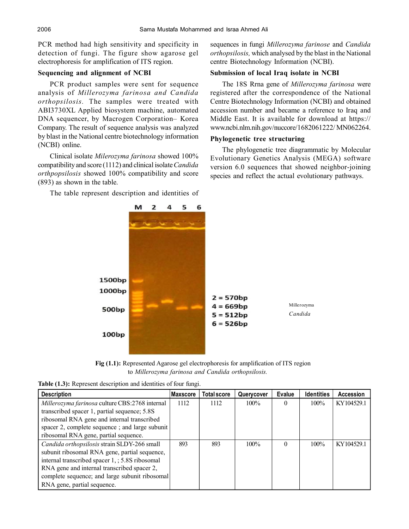PCR method had high sensitivity and specificity in detection of fungi. The figure show agarose gel electrophoresis for amplification of ITS region.

#### **Sequencing and alignment of NCBI**

PCR product samples were sent for sequence analysis of *Millerozyma farinosa and Candida orthopsilosis.* The samples were treated with ABI3730XL Applied biosystem machine, automated DNA sequencer, by Macrogen Corporation– Korea Company. The result of sequence analysis was analyzed by blast in the National centre biotechnology information (NCBI) online.

Clinical isolate *Milerozyma farinosa* showed 100% compatibility and score (1112) and clinical isolate *Candida orthpopsilosis* showed 100% compatibility and score (893) as shown in the table.

The table represent description and identities of

sequences in fungi *Millerozyma farinose* and *Candida orthopsilosis,* which analysed by the blast in the National centre Biotechnology Information (NCBI).

### **Submission of local Iraq isolate in NCBI**

The 18S Rrna gene of *Millerozyma farinosa* were registered after the correspondence of the National Centre Biotechnology Information (NCBI) and obtained accession number and became a reference to Iraq and Middle East. It is available for download at https:// www.ncbi.nlm.nih.gov/nuccore/1682061222/ MN062264.

#### **Phylogenetic tree structuring**

The phylogenetic tree diagrammatic by Molecular Evolutionary Genetics Analysis (MEGA) software version 6.0 sequences that showed neighbor-joining species and reflect the actual evolutionary pathways.



**Fig (1.1):** Represented Agarose gel electrophoresis for amplification of ITS region to *Millerozyma farinosa and Candida orthopsilosis.*

|  |  | Table (1.3): Represent description and identities of four fungi. |  |  |  |
|--|--|------------------------------------------------------------------|--|--|--|
|--|--|------------------------------------------------------------------|--|--|--|

| <b>Description</b>                              | <b>Maxscore</b> | <b>Total score</b> | Querycover | <b>Evalue</b> | <b>Identities</b> | <b>Accession</b> |
|-------------------------------------------------|-----------------|--------------------|------------|---------------|-------------------|------------------|
| Millerozyma farinosa culture CBS:2768 internal  | 1112            | 1112               | $100\%$    | $\Omega$      | 100%              | KY104529.1       |
| transcribed spacer 1, partial sequence; 5.8S    |                 |                    |            |               |                   |                  |
| ribosomal RNA gene and internal transcribed     |                 |                    |            |               |                   |                  |
| spacer 2, complete sequence; and large subunit  |                 |                    |            |               |                   |                  |
| ribosomal RNA gene, partial sequence.           |                 |                    |            |               |                   |                  |
| Candida orthopsilosis strain SLDY-266 small     | 893             | 893                | $100\%$    | 0             | 100%              | KY104529.1       |
| subunit ribosomal RNA gene, partial sequence,   |                 |                    |            |               |                   |                  |
| internal transcribed spacer 1, ; 5.8S ribosomal |                 |                    |            |               |                   |                  |
| RNA gene and internal transcribed spacer 2,     |                 |                    |            |               |                   |                  |
| complete sequence; and large subunit ribosomal  |                 |                    |            |               |                   |                  |
| RNA gene, partial sequence.                     |                 |                    |            |               |                   |                  |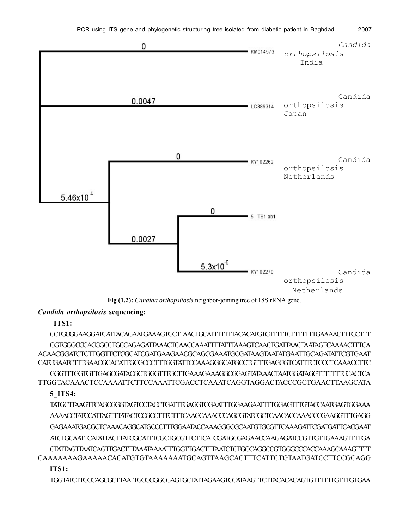

**Fig (1.2):** *Candida orthopsilosis* neighbor-joining tree of 18S rRNA gene.

*Candida orthopsilosis* **sequencing:**

**\_ITS1:**

CCTGCGGAAGGATCATTACAGAATGAAAGTGCTTAACTGCATTTTTTTACACATGTGTTTTTCTTTTTTTGAAAACTTTGCTTT GGTGGGCCCACGGCCTGCCAGAGATTAAACTCAACCAAATTTTATTTAAAGTCAACTGATTAACTAATAGTCAAAACTTTCA ACAACGGATCTCTTGGTTCTCGCATCGATGAAGAACGCAGCGAAATGCGATAAGTAATATGAATTGCAGATATTCGTGAAT CATCGAATCTTTGAACGCACATTGCGCCCTTTGGTATTCCAAAGGGCATGCCTGTTTGAGCGTCATTTCTCCCTCAAACCTTC GGGTTTGGTGTTGAGCGATACGCTGGGTTTGCTTGAAAGAAAGGCGGAGTATAAACTAATGGATAGGTTTTTTTCCACTCA TTGGTACAAACTCCAAAATTCTTCCAAATTCGACCTCAAATCAGGTAGGACTACCCGCTGAACTTAAGCATA

# **5\_ITS4:**

TATGCTTAAGTTCAGCGGGTAGTCCTACCTGATTTGAGGTCGAATTTGGAAGAATTTTGGAGTTTGTACCAATGAGTGGAAA AAAACCTATCCATTAGTTTATACTCCGCCTTTCTTTCAAGCAAACCCAGCGTATCGCTCAACACCAAACCCGAAGGTTTGAGG GAGAAATGACGCTCAAACAGGCATGCCCTTTGGAATACCAAAGGGCGCAATGTGCGTTCAAAGATTCGATGATTCACGAAT ATCTGCAATTCATATTACTTATCGCATTTCGCTGCGTTCTTCATCGATGCGAGAACCAAGAGATCCGTTGTTGAAAGTTTTGA CTATTAGTTAATCAGTTGACTTTAAATAAAATTTGGTTGAGTTTAATCTCTGGCAGGCCGTGGGCCCACCAAAGCAAAGTTTT CAAAAAAAGAAAAACACATGTGTAAAAAAATGCAGTTAAGCACTTTCATTCTGTAATGATCCTTCCGCAGG **ITS1:**

TGGTATCTTGCCAGCGCTTAATTGCGCGGCGAGTGCTATTAGAAGTCCATAAGTTCTTACACACAGTGTTTTTTGTTTGTGAA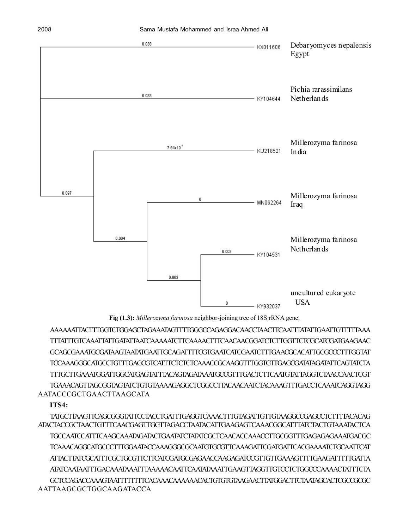

**Fig (1.3):** *Millerozyma farinosa* neighbor-joining tree of 18S rRNA gene.

AAAAAATTACTTTGGTCTGGAGCTAGAAATAGTTTTGGGCCAGAGGACAACCTAACTTCAATTTATATTGAATTGTTTTTAAA TTTATTTGTCAAATTATTGATATTAATCAAAAATCTTCAAAACTTTCAACAACGGATCTCTTGGTTCTCGCATCGATGAAGAAC GCAGCGAAATGCGATAAGTAATATGAATTGCAGATTTTCGTGAATCATCGAATCTTTGAACGCACATTGCGCCCTTTGGTAT TCCAAAGGGCATGCCTGTTTGAGCGTCATTTCTCTCTCAAACCGCAAGGTTTGGTGTTGAGCGATATAGATATTCAGTATCTA TTTGCTTGAAATGGATTGGCATGAGTATTTACAGTAGATAAATGCCGTTTGACTCTTCAATGTATTAGGTCTAACCAACTCGT TGAAACAGTTAGCGGTAGTATCTGTGTAAAAGAGGCTCGGCCTTACAACAATCTACAAAGTTTGACCTCAAATCAGGTAGG AATACCCGCTGAACTTAAGCATA

# **ITS4:**

TATGCTTAAGTTCAGCGGGTATTCCTACCTGATTTGAGGTCAAACTTTGTAGATTGTTGTAAGGCCGAGCCTCTTTTACACAG ATACTACCGCTAACTGTTTCAACGAGTTGGTTAGACCTAATACATTGAAGAGTCAAACGGCATTTATCTACTGTAAATACTCA TGCCAATCCATTTCAAGCAAATAGATACTGAATATCTATATCGCTCAACACCAAACCTTGCGGTTTGAGAGAGAAATGACGC TCAAACAGGCATGCCCTTTGGAATACCAAAGGGCGCAATGTGCGTTCAAAGATTCGATGATTCACGAAAATCTGCAATTCAT ATTACTTATCGCATTTCGCTGCGTTCTTCATCGATGCGAGAACCAAGAGATCCGTTGTTGAAAGTTTTGAAGATTTTTGATTA ATATCAATAATTTGACAAATAAATTTAAAAACAATTCAATATAAATTGAAGTTAGGTTGTCCTCTGGCCCAAAACTATTTCTA GCTCCAGACCAAAGTAATTTTTTTTCACAAACAAAAAACACTGTGTGTAAGAACTTATGGACTTCTAATAGCACTCGCCGCGC AATTAAGCGCTGGCAAGATACCA